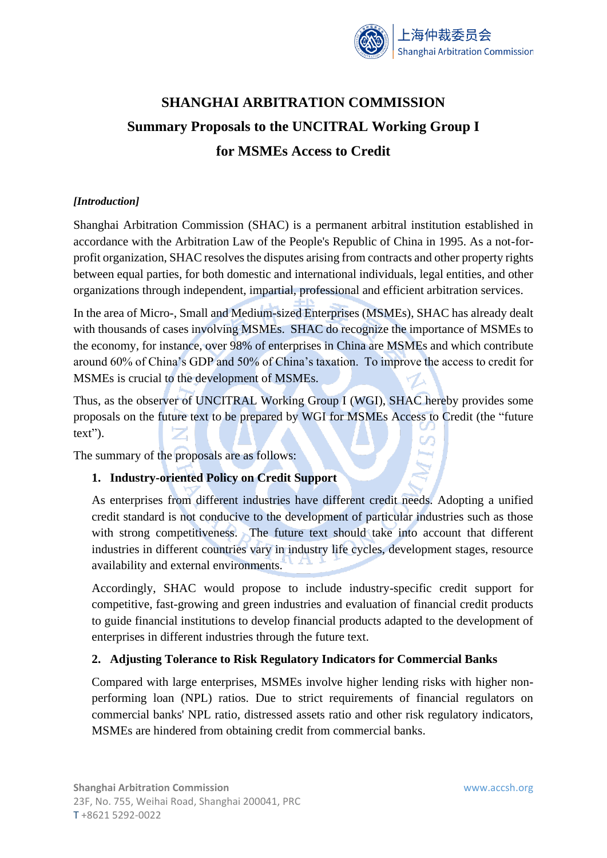

# **SHANGHAI ARBITRATION COMMISSION Summary Proposals to the UNCITRAL Working Group I for MSMEs Access to Credit**

## *[Introduction]*

Shanghai Arbitration Commission (SHAC) is a permanent arbitral institution established in accordance with the Arbitration Law of the People's Republic of China in 1995. As a not-forprofit organization, SHAC resolves the disputes arising from contracts and other property rights between equal parties, for both domestic and international individuals, legal entities, and other organizations through independent, impartial, professional and efficient arbitration services.

In the area of Micro-, Small and Medium-sized Enterprises (MSMEs), SHAC has already dealt with thousands of cases involving MSMEs. SHAC do recognize the importance of MSMEs to the economy, for instance, over 98% of enterprises in China are MSMEs and which contribute around 60% of China's GDP and 50% of China's taxation. To improve the access to credit for MSMEs is crucial to the development of MSMEs.

Thus, as the observer of UNCITRAL Working Group I (WGI), SHAC hereby provides some proposals on the future text to be prepared by WGI for MSMEs Access to Credit (the "future text").

The summary of the proposals are as follows:

## **1. Industry-oriented Policy on Credit Support**

As enterprises from different industries have different credit needs. Adopting a unified credit standard is not conducive to the development of particular industries such as those with strong competitiveness. The future text should take into account that different industries in different countries vary in industry life cycles, development stages, resource availability and external environments.

Accordingly, SHAC would propose to include industry-specific credit support for competitive, fast-growing and green industries and evaluation of financial credit products to guide financial institutions to develop financial products adapted to the development of enterprises in different industries through the future text.

## **2. Adjusting Tolerance to Risk Regulatory Indicators for Commercial Banks**

Compared with large enterprises, MSMEs involve higher lending risks with higher nonperforming loan (NPL) ratios. Due to strict requirements of financial regulators on commercial banks' NPL ratio, distressed assets ratio and other risk regulatory indicators, MSMEs are hindered from obtaining credit from commercial banks.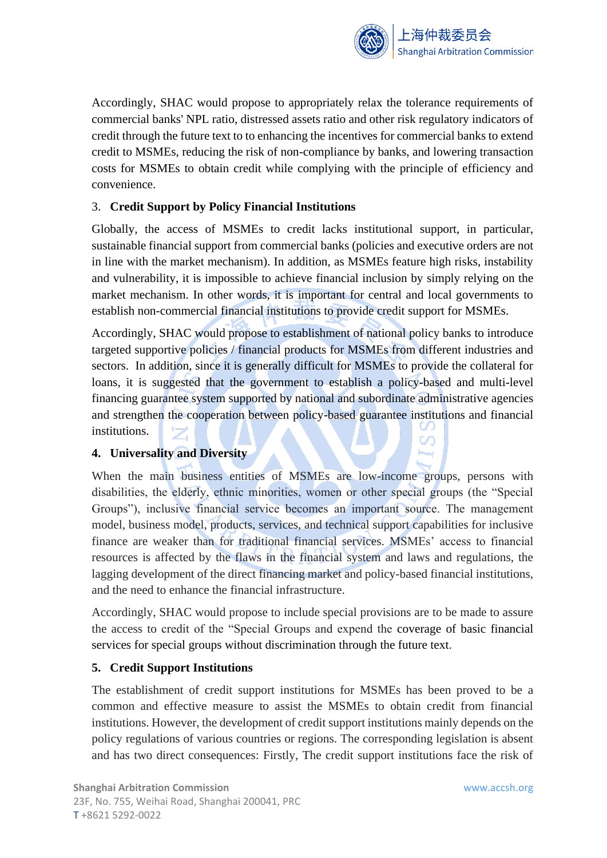

Accordingly, SHAC would propose to appropriately relax the tolerance requirements of commercial banks' NPL ratio, distressed assets ratio and other risk regulatory indicators of credit through the future text to to enhancing the incentives for commercial banks to extend credit to MSMEs, reducing the risk of non-compliance by banks, and lowering transaction costs for MSMEs to obtain credit while complying with the principle of efficiency and convenience.

## 3. **Credit Support by Policy Financial Institutions**

Globally, the access of MSMEs to credit lacks institutional support, in particular, sustainable financial support from commercial banks (policies and executive orders are not in line with the market mechanism). In addition, as MSMEs feature high risks, instability and vulnerability, it is impossible to achieve financial inclusion by simply relying on the market mechanism. In other words, it is important for central and local governments to establish non-commercial financial institutions to provide credit support for MSMEs.

Accordingly, SHAC would propose to establishment of national policy banks to introduce targeted supportive policies / financial products for MSMEs from different industries and sectors. In addition, since it is generally difficult for MSMEs to provide the collateral for loans, it is suggested that the government to establish a policy-based and multi-level financing guarantee system supported by national and subordinate administrative agencies and strengthen the cooperation between policy-based guarantee institutions and financial institutions.  $\infty$ 

#### **4. Universality and Diversity**

When the main business entities of MSMEs are low-income groups, persons with disabilities, the elderly, ethnic minorities, women or other special groups (the "Special Groups"), inclusive financial service becomes an important source. The management model, business model, products, services, and technical support capabilities for inclusive finance are weaker than for traditional financial services. MSMEs' access to financial resources is affected by the flaws in the financial system and laws and regulations, the lagging development of the direct financing market and policy-based financial institutions, and the need to enhance the financial infrastructure.

Accordingly, SHAC would propose to include special provisions are to be made to assure the access to credit of the "Special Groups and expend the coverage of basic financial services for special groups without discrimination through the future text.

#### **5. Credit Support Institutions**

The establishment of credit support institutions for MSMEs has been proved to be a common and effective measure to assist the MSMEs to obtain credit from financial institutions. However, the development of credit support institutions mainly depends on the policy regulations of various countries or regions. The corresponding legislation is absent and has two direct consequences: Firstly, The credit support institutions face the risk of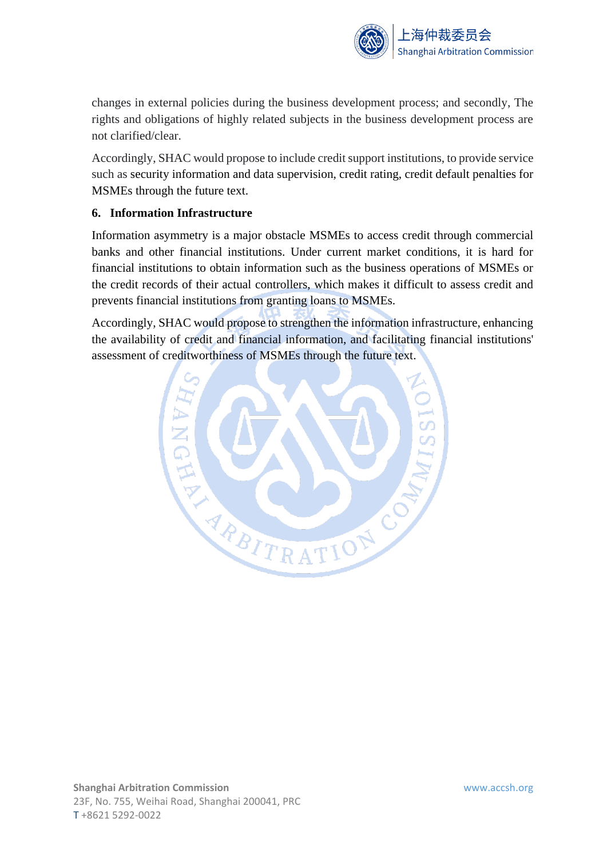

changes in external policies during the business development process; and secondly, The rights and obligations of highly related subjects in the business development process are not clarified/clear.

Accordingly, SHAC would propose to include credit support institutions, to provide service such as security information and data supervision, credit rating, credit default penalties for MSMEs through the future text.

## **6. Information Infrastructure**

Information asymmetry is a major obstacle MSMEs to access credit through commercial banks and other financial institutions. Under current market conditions, it is hard for financial institutions to obtain information such as the business operations of MSMEs or the credit records of their actual controllers, which makes it difficult to assess credit and prevents financial institutions from granting loans to MSMEs.

Accordingly, SHAC would propose to strengthen the information infrastructure, enhancing the availability of credit and financial information, and facilitating financial institutions' assessment of creditworthiness of MSMEs through the future text.